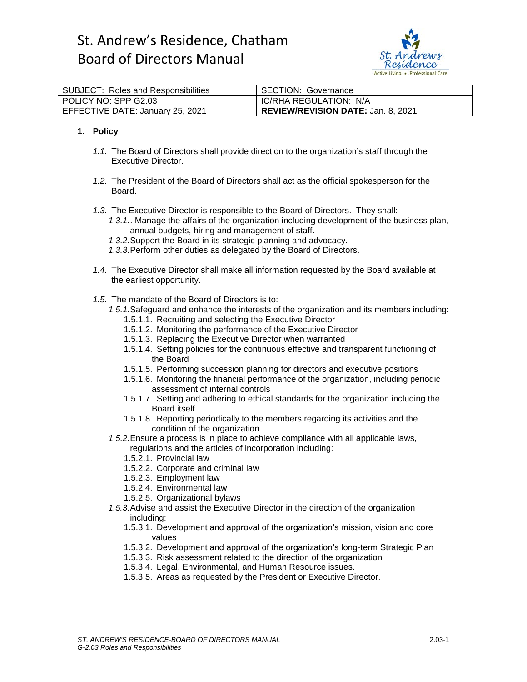

| SUBJECT: Roles and Responsibilities | <b>SECTION: Governance</b>                |
|-------------------------------------|-------------------------------------------|
| l POLICY NO: SPP G2.03              | IC/RHA REGULATION: N/A                    |
| EFFECTIVE DATE: January 25, 2021    | <b>REVIEW/REVISION DATE: Jan. 8, 2021</b> |

#### **1. Policy**

- *1.1.* The Board of Directors shall provide direction to the organization's staff through the Executive Director.
- *1.2.* The President of the Board of Directors shall act as the official spokesperson for the Board.
- *1.3.* The Executive Director is responsible to the Board of Directors. They shall:
	- *1.3.1.*. Manage the affairs of the organization including development of the business plan, annual budgets, hiring and management of staff.
	- *1.3.2.*Support the Board in its strategic planning and advocacy.
	- *1.3.3.*Perform other duties as delegated by the Board of Directors.
- *1.4.* The Executive Director shall make all information requested by the Board available at the earliest opportunity.
- *1.5.* The mandate of the Board of Directors is to:
	- *1.5.1.*Safeguard and enhance the interests of the organization and its members including:
		- 1.5.1.1. Recruiting and selecting the Executive Director
		- 1.5.1.2. Monitoring the performance of the Executive Director
		- 1.5.1.3. Replacing the Executive Director when warranted
		- 1.5.1.4. Setting policies for the continuous effective and transparent functioning of the Board
		- 1.5.1.5. Performing succession planning for directors and executive positions
		- 1.5.1.6. Monitoring the financial performance of the organization, including periodic assessment of internal controls
		- 1.5.1.7. Setting and adhering to ethical standards for the organization including the Board itself
		- 1.5.1.8. Reporting periodically to the members regarding its activities and the condition of the organization
	- *1.5.2.*Ensure a process is in place to achieve compliance with all applicable laws, regulations and the articles of incorporation including:
		- 1.5.2.1. Provincial law
		- 1.5.2.2. Corporate and criminal law
		- 1.5.2.3. Employment law
		- 1.5.2.4. Environmental law
		- 1.5.2.5. Organizational bylaws
	- *1.5.3.*Advise and assist the Executive Director in the direction of the organization including:
		- 1.5.3.1. Development and approval of the organization's mission, vision and core values
		- 1.5.3.2. Development and approval of the organization's long-term Strategic Plan
		- 1.5.3.3. Risk assessment related to the direction of the organization
		- 1.5.3.4. Legal, Environmental, and Human Resource issues.
		- 1.5.3.5. Areas as requested by the President or Executive Director.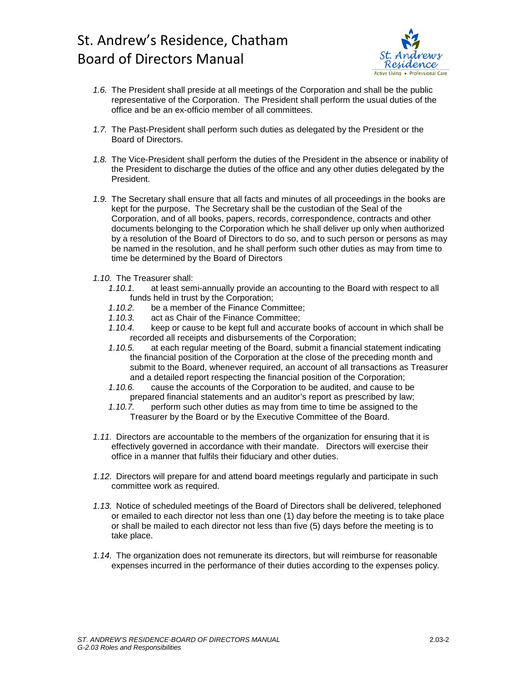

- *1.6.* The President shall preside at all meetings of the Corporation and shall be the public representative of the Corporation. The President shall perform the usual duties of the office and be an ex-officio member of all committees.
- *1.7.* The Past-President shall perform such duties as delegated by the President or the Board of Directors.
- *1.8.* The Vice-President shall perform the duties of the President in the absence or inability of the President to discharge the duties of the office and any other duties delegated by the President.
- *1.9.* The Secretary shall ensure that all facts and minutes of all proceedings in the books are kept for the purpose. The Secretary shall be the custodian of the Seal of the Corporation, and of all books, papers, records, correspondence, contracts and other documents belonging to the Corporation which he shall deliver up only when authorized by a resolution of the Board of Directors to do so, and to such person or persons as may be named in the resolution, and he shall perform such other duties as may from time to time be determined by the Board of Directors
- *1.10.* The Treasurer shall:
	- *1.10.1.* at least semi-annually provide an accounting to the Board with respect to all funds held in trust by the Corporation;<br>1 10 2 be a member of the Finance Cor
	- be a member of the Finance Committee:
	- *1.10.3.* act as Chair of the Finance Committee;
	- *1.10.4.* keep or cause to be kept full and accurate books of account in which shall be recorded all receipts and disbursements of the Corporation;
	- *1.10.5.* at each regular meeting of the Board, submit a financial statement indicating the financial position of the Corporation at the close of the preceding month and submit to the Board, whenever required, an account of all transactions as Treasurer and a detailed report respecting the financial position of the Corporation;
	- *1.10.6.* cause the accounts of the Corporation to be audited, and cause to be prepared financial statements and an auditor's report as prescribed by law;
	- *1.10.7.* perform such other duties as may from time to time be assigned to the Treasurer by the Board or by the Executive Committee of the Board.
- *1.11.* Directors are accountable to the members of the organization for ensuring that it is effectively governed in accordance with their mandate. Directors will exercise their office in a manner that fulfils their fiduciary and other duties.
- *1.12.* Directors will prepare for and attend board meetings regularly and participate in such committee work as required.
- *1.13.* Notice of scheduled meetings of the Board of Directors shall be delivered, telephoned or emailed to each director not less than one (1) day before the meeting is to take place or shall be mailed to each director not less than five (5) days before the meeting is to take place.
- *1.14.* The organization does not remunerate its directors, but will reimburse for reasonable expenses incurred in the performance of their duties according to the expenses policy.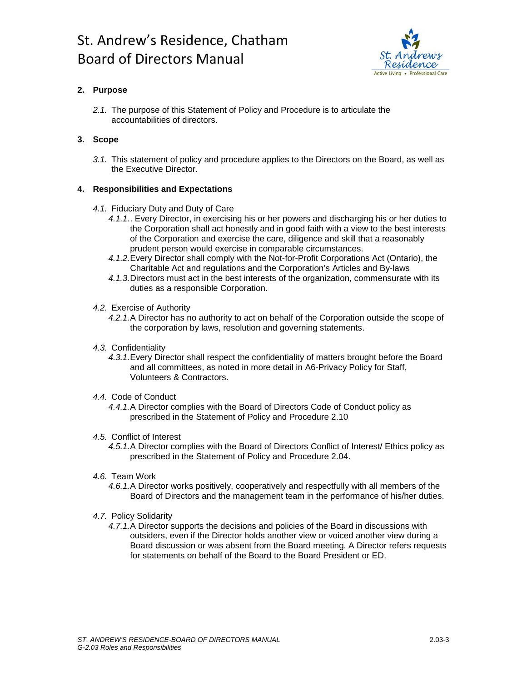

## **2. Purpose**

*2.1.* The purpose of this Statement of Policy and Procedure is to articulate the accountabilities of directors.

### **3. Scope**

*3.1.* This statement of policy and procedure applies to the Directors on the Board, as well as the Executive Director.

#### **4. Responsibilities and Expectations**

- *4.1.* Fiduciary Duty and Duty of Care
	- *4.1.1.*. Every Director, in exercising his or her powers and discharging his or her duties to the Corporation shall act honestly and in good faith with a view to the best interests of the Corporation and exercise the care, diligence and skill that a reasonably prudent person would exercise in comparable circumstances.
	- *4.1.2.*Every Director shall comply with the Not-for-Profit Corporations Act (Ontario), the Charitable Act and regulations and the Corporation's Articles and By-laws
	- *4.1.3.*Directors must act in the best interests of the organization, commensurate with its duties as a responsible Corporation.

#### *4.2.* Exercise of Authority

- *4.2.1.*A Director has no authority to act on behalf of the Corporation outside the scope of the corporation by laws, resolution and governing statements.
- *4.3.* Confidentiality
	- *4.3.1.*Every Director shall respect the confidentiality of matters brought before the Board and all committees, as noted in more detail in A6-Privacy Policy for Staff, Volunteers & Contractors.

#### *4.4.* Code of Conduct

*4.4.1.*A Director complies with the Board of Directors Code of Conduct policy as prescribed in the Statement of Policy and Procedure 2.10

#### *4.5.* Conflict of Interest

- *4.5.1.*A Director complies with the Board of Directors Conflict of Interest/ Ethics policy as prescribed in the Statement of Policy and Procedure 2.04.
- *4.6.* Team Work
	- *4.6.1.*A Director works positively, cooperatively and respectfully with all members of the Board of Directors and the management team in the performance of his/her duties.
- *4.7.* Policy Solidarity
	- *4.7.1.*A Director supports the decisions and policies of the Board in discussions with outsiders, even if the Director holds another view or voiced another view during a Board discussion or was absent from the Board meeting. A Director refers requests for statements on behalf of the Board to the Board President or ED.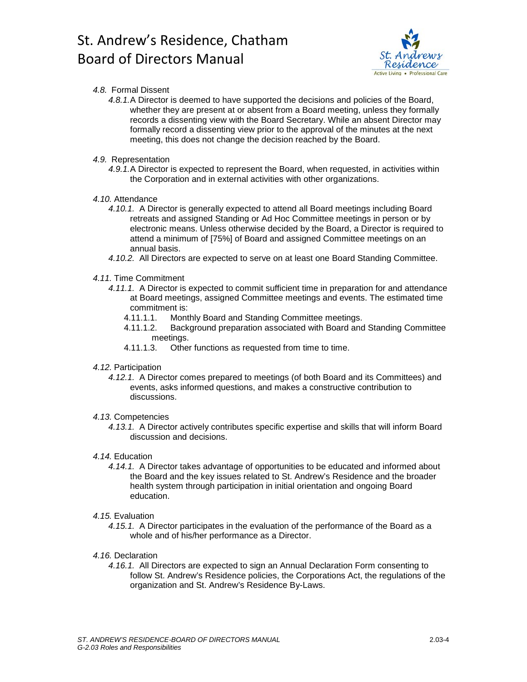

#### *4.8.* Formal Dissent

- *4.8.1.*A Director is deemed to have supported the decisions and policies of the Board, whether they are present at or absent from a Board meeting, unless they formally records a dissenting view with the Board Secretary. While an absent Director may formally record a dissenting view prior to the approval of the minutes at the next meeting, this does not change the decision reached by the Board.
- *4.9.* Representation
	- *4.9.1.*A Director is expected to represent the Board, when requested, in activities within the Corporation and in external activities with other organizations.
- *4.10.* Attendance
	- *4.10.1.* A Director is generally expected to attend all Board meetings including Board retreats and assigned Standing or Ad Hoc Committee meetings in person or by electronic means. Unless otherwise decided by the Board, a Director is required to attend a minimum of [75%] of Board and assigned Committee meetings on an annual basis.
	- *4.10.2.* All Directors are expected to serve on at least one Board Standing Committee.

#### *4.11.* Time Commitment

- *4.11.1.* A Director is expected to commit sufficient time in preparation for and attendance at Board meetings, assigned Committee meetings and events. The estimated time commitment is:
	- 4.11.1.1. Monthly Board and Standing Committee meetings.
	- 4.11.1.2. Background preparation associated with Board and Standing Committee meetings.
	- 4.11.1.3. Other functions as requested from time to time.

#### *4.12.* Participation

*4.12.1.* A Director comes prepared to meetings (of both Board and its Committees) and events, asks informed questions, and makes a constructive contribution to discussions.

#### *4.13.* Competencies

*4.13.1.* A Director actively contributes specific expertise and skills that will inform Board discussion and decisions.

#### *4.14.* Education

*4.14.1.* A Director takes advantage of opportunities to be educated and informed about the Board and the key issues related to St. Andrew's Residence and the broader health system through participation in initial orientation and ongoing Board education.

#### *4.15.* Evaluation

*4.15.1.* A Director participates in the evaluation of the performance of the Board as a whole and of his/her performance as a Director.

#### *4.16.* Declaration

*4.16.1.* All Directors are expected to sign an Annual Declaration Form consenting to follow St. Andrew's Residence policies, the Corporations Act, the regulations of the organization and St. Andrew's Residence By-Laws.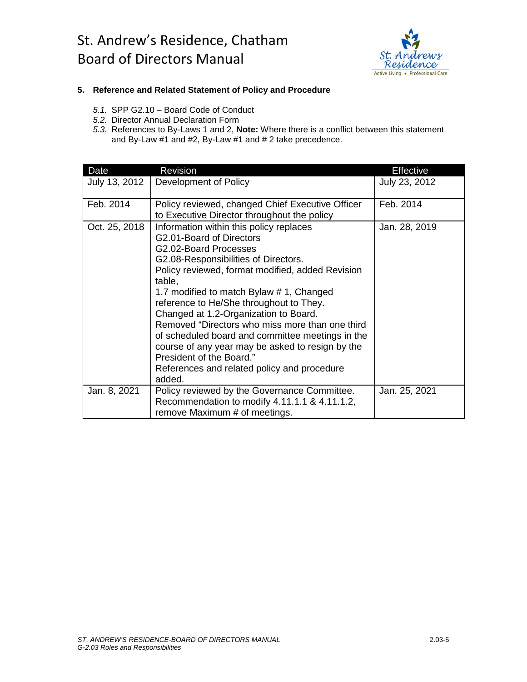

#### **5. Reference and Related Statement of Policy and Procedure**

- *5.1.* SPP G2.10 Board Code of Conduct
- *5.2.* Director Annual Declaration Form
- *5.3.* References to By-Laws 1 and 2, **Note:** Where there is a conflict between this statement and By-Law #1 and #2, By-Law #1 and # 2 take precedence.

| Date          | <b>Revision</b>                                                                                                                                                                                                                                                                                                                                                                                                                                                                                                                                                                    | <b>Effective</b> |
|---------------|------------------------------------------------------------------------------------------------------------------------------------------------------------------------------------------------------------------------------------------------------------------------------------------------------------------------------------------------------------------------------------------------------------------------------------------------------------------------------------------------------------------------------------------------------------------------------------|------------------|
| July 13, 2012 | Development of Policy                                                                                                                                                                                                                                                                                                                                                                                                                                                                                                                                                              | July 23, 2012    |
| Feb. 2014     | Policy reviewed, changed Chief Executive Officer<br>to Executive Director throughout the policy                                                                                                                                                                                                                                                                                                                                                                                                                                                                                    | Feb. 2014        |
| Oct. 25, 2018 | Information within this policy replaces<br>G2.01-Board of Directors<br>G2.02-Board Processes<br>G2.08-Responsibilities of Directors.<br>Policy reviewed, format modified, added Revision<br>table,<br>1.7 modified to match Bylaw # 1, Changed<br>reference to He/She throughout to They.<br>Changed at 1.2-Organization to Board.<br>Removed "Directors who miss more than one third<br>of scheduled board and committee meetings in the<br>course of any year may be asked to resign by the<br>President of the Board."<br>References and related policy and procedure<br>added. | Jan. 28, 2019    |
| Jan. 8, 2021  | Policy reviewed by the Governance Committee.<br>Recommendation to modify 4.11.1.1 & 4.11.1.2,<br>remove Maximum # of meetings.                                                                                                                                                                                                                                                                                                                                                                                                                                                     | Jan. 25, 2021    |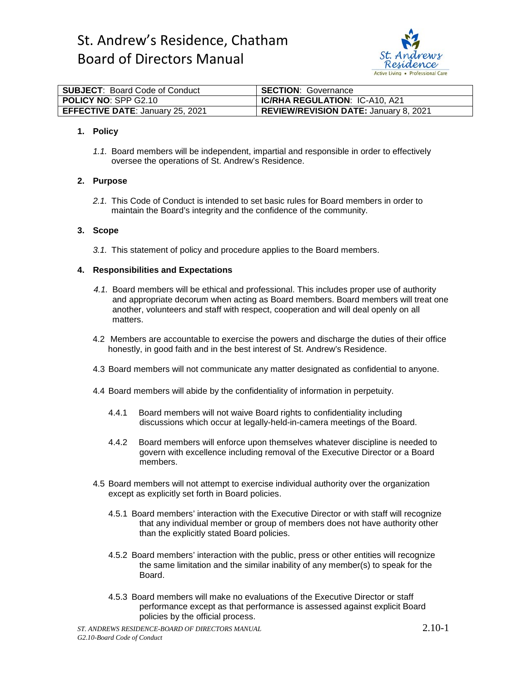

| SUBJECT: Board Code of Conduct   | <b>SECTION: Governance</b>            |
|----------------------------------|---------------------------------------|
| POLICY NO: SPP G2.10             | <b>IC/RHA REGULATION: IC-A10, A21</b> |
| EFFECTIVE DATE: January 25, 2021 | REVIEW/REVISION DATE: January 8, 2021 |

#### **1. Policy**

*1.1.* Board members will be independent, impartial and responsible in order to effectively oversee the operations of St. Andrew's Residence.

#### **2. Purpose**

*2.1.* This Code of Conduct is intended to set basic rules for Board members in order to maintain the Board's integrity and the confidence of the community.

#### **3. Scope**

*3.1.* This statement of policy and procedure applies to the Board members.

#### **4. Responsibilities and Expectations**

- *4.1.* Board members will be ethical and professional. This includes proper use of authority and appropriate decorum when acting as Board members. Board members will treat one another, volunteers and staff with respect, cooperation and will deal openly on all matters.
- 4.2 Members are accountable to exercise the powers and discharge the duties of their office honestly, in good faith and in the best interest of St. Andrew's Residence.
- 4.3 Board members will not communicate any matter designated as confidential to anyone.
- 4.4 Board members will abide by the confidentiality of information in perpetuity.
	- 4.4.1 Board members will not waive Board rights to confidentiality including discussions which occur at legally-held-in-camera meetings of the Board.
	- 4.4.2 Board members will enforce upon themselves whatever discipline is needed to govern with excellence including removal of the Executive Director or a Board members.
- 4.5 Board members will not attempt to exercise individual authority over the organization except as explicitly set forth in Board policies.
	- 4.5.1 Board members' interaction with the Executive Director or with staff will recognize that any individual member or group of members does not have authority other than the explicitly stated Board policies.
	- 4.5.2 Board members' interaction with the public, press or other entities will recognize the same limitation and the similar inability of any member(s) to speak for the Board.
	- 4.5.3 Board members will make no evaluations of the Executive Director or staff performance except as that performance is assessed against explicit Board policies by the official process.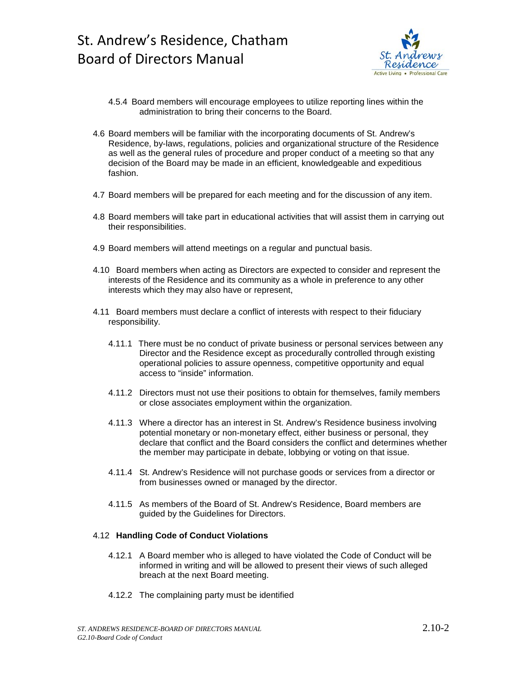

- 4.5.4 Board members will encourage employees to utilize reporting lines within the administration to bring their concerns to the Board.
- 4.6 Board members will be familiar with the incorporating documents of St. Andrew's Residence, by-laws, regulations, policies and organizational structure of the Residence as well as the general rules of procedure and proper conduct of a meeting so that any decision of the Board may be made in an efficient, knowledgeable and expeditious fashion.
- 4.7 Board members will be prepared for each meeting and for the discussion of any item.
- 4.8 Board members will take part in educational activities that will assist them in carrying out their responsibilities.
- 4.9 Board members will attend meetings on a regular and punctual basis.
- 4.10 Board members when acting as Directors are expected to consider and represent the interests of the Residence and its community as a whole in preference to any other interests which they may also have or represent,
- 4.11 Board members must declare a conflict of interests with respect to their fiduciary responsibility.
	- 4.11.1 There must be no conduct of private business or personal services between any Director and the Residence except as procedurally controlled through existing operational policies to assure openness, competitive opportunity and equal access to "inside" information.
	- 4.11.2 Directors must not use their positions to obtain for themselves, family members or close associates employment within the organization.
	- 4.11.3 Where a director has an interest in St. Andrew's Residence business involving potential monetary or non-monetary effect, either business or personal, they declare that conflict and the Board considers the conflict and determines whether the member may participate in debate, lobbying or voting on that issue.
	- 4.11.4 St. Andrew's Residence will not purchase goods or services from a director or from businesses owned or managed by the director.
	- 4.11.5 As members of the Board of St. Andrew's Residence, Board members are guided by the Guidelines for Directors.

#### 4.12 **Handling Code of Conduct Violations**

- 4.12.1 A Board member who is alleged to have violated the Code of Conduct will be informed in writing and will be allowed to present their views of such alleged breach at the next Board meeting.
- 4.12.2 The complaining party must be identified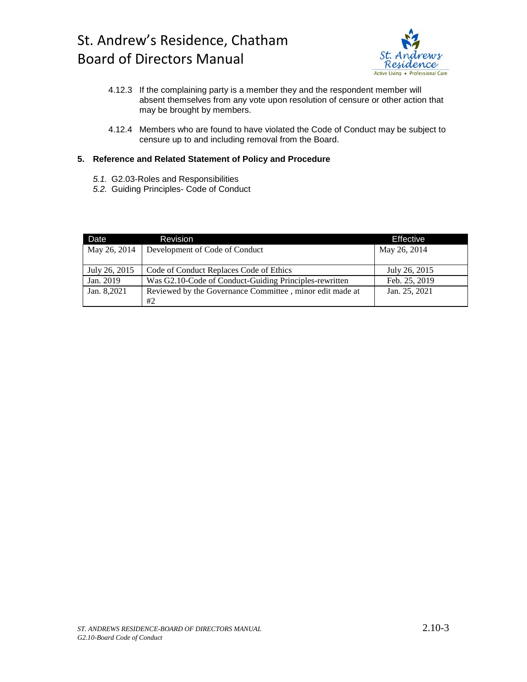

- 4.12.3 If the complaining party is a member they and the respondent member will absent themselves from any vote upon resolution of censure or other action that may be brought by members.
- 4.12.4 Members who are found to have violated the Code of Conduct may be subject to censure up to and including removal from the Board.

#### **5. Reference and Related Statement of Policy and Procedure**

- *5.1.* G2.03-Roles and Responsibilities
- *5.2.* Guiding Principles- Code of Conduct

| Date          | Revision                                                 | Effective     |
|---------------|----------------------------------------------------------|---------------|
| May 26, 2014  | Development of Code of Conduct                           | May 26, 2014  |
|               |                                                          |               |
| July 26, 2015 | Code of Conduct Replaces Code of Ethics                  | July 26, 2015 |
| Jan. 2019     | Was G2.10-Code of Conduct-Guiding Principles-rewritten   | Feb. 25, 2019 |
| Jan. 8,2021   | Reviewed by the Governance Committee, minor edit made at | Jan. 25, 2021 |
|               | #2                                                       |               |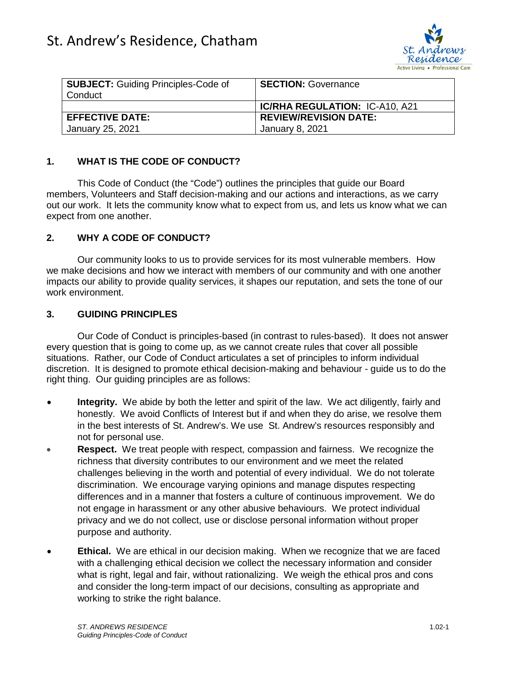

| <b>SUBJECT:</b> Guiding Principles-Code of<br>Conduct | <b>SECTION: Governance</b>            |
|-------------------------------------------------------|---------------------------------------|
|                                                       | <b>IC/RHA REGULATION: IC-A10, A21</b> |
| <b>EFFECTIVE DATE:</b>                                | <b>REVIEW/REVISION DATE:</b>          |
| January 25, 2021                                      | January 8, 2021                       |

## **1. WHAT IS THE CODE OF CONDUCT?**

This Code of Conduct (the "Code") outlines the principles that guide our Board members, Volunteers and Staff decision-making and our actions and interactions, as we carry out our work. It lets the community know what to expect from us, and lets us know what we can expect from one another.

### **2. WHY A CODE OF CONDUCT?**

Our community looks to us to provide services for its most vulnerable members. How we make decisions and how we interact with members of our community and with one another impacts our ability to provide quality services, it shapes our reputation, and sets the tone of our work environment.

### **3. GUIDING PRINCIPLES**

Our Code of Conduct is principles-based (in contrast to rules-based). It does not answer every question that is going to come up, as we cannot create rules that cover all possible situations. Rather, our Code of Conduct articulates a set of principles to inform individual discretion. It is designed to promote ethical decision-making and behaviour - guide us to do the right thing. Our guiding principles are as follows:

- **Integrity.** We abide by both the letter and spirit of the law. We act diligently, fairly and honestly. We avoid Conflicts of Interest but if and when they do arise, we resolve them in the best interests of St. Andrew's. We use St. Andrew's resources responsibly and not for personal use.
- **Respect.** We treat people with respect, compassion and fairness. We recognize the richness that diversity contributes to our environment and we meet the related challenges believing in the worth and potential of every individual. We do not tolerate discrimination. We encourage varying opinions and manage disputes respecting differences and in a manner that fosters a culture of continuous improvement. We do not engage in harassment or any other abusive behaviours. We protect individual privacy and we do not collect, use or disclose personal information without proper purpose and authority.
- **Ethical.** We are ethical in our decision making. When we recognize that we are faced with a challenging ethical decision we collect the necessary information and consider what is right, legal and fair, without rationalizing. We weigh the ethical pros and cons and consider the long-term impact of our decisions, consulting as appropriate and working to strike the right balance.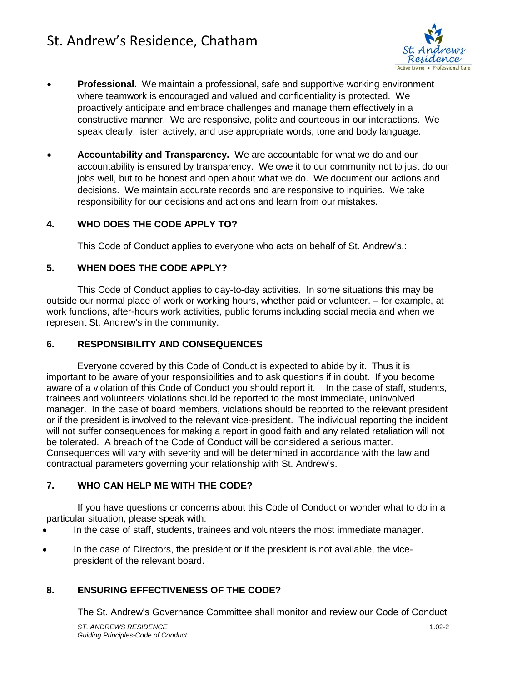## St. Andrew's Residence, Chatham



- **Professional.** We maintain a professional, safe and supportive working environment where teamwork is encouraged and valued and confidentiality is protected. We proactively anticipate and embrace challenges and manage them effectively in a constructive manner. We are responsive, polite and courteous in our interactions. We speak clearly, listen actively, and use appropriate words, tone and body language.
- **Accountability and Transparency.** We are accountable for what we do and our accountability is ensured by transparency. We owe it to our community not to just do our jobs well, but to be honest and open about what we do. We document our actions and decisions. We maintain accurate records and are responsive to inquiries. We take responsibility for our decisions and actions and learn from our mistakes.

### **4. WHO DOES THE CODE APPLY TO?**

This Code of Conduct applies to everyone who acts on behalf of St. Andrew's.:

### **5. WHEN DOES THE CODE APPLY?**

This Code of Conduct applies to day-to-day activities. In some situations this may be outside our normal place of work or working hours, whether paid or volunteer. – for example, at work functions, after-hours work activities, public forums including social media and when we represent St. Andrew's in the community.

#### **6. RESPONSIBILITY AND CONSEQUENCES**

Everyone covered by this Code of Conduct is expected to abide by it. Thus it is important to be aware of your responsibilities and to ask questions if in doubt. If you become aware of a violation of this Code of Conduct you should report it. In the case of staff, students, trainees and volunteers violations should be reported to the most immediate, uninvolved manager. In the case of board members, violations should be reported to the relevant president or if the president is involved to the relevant vice-president. The individual reporting the incident will not suffer consequences for making a report in good faith and any related retaliation will not be tolerated. A breach of the Code of Conduct will be considered a serious matter. Consequences will vary with severity and will be determined in accordance with the law and contractual parameters governing your relationship with St. Andrew's.

### **7. WHO CAN HELP ME WITH THE CODE?**

If you have questions or concerns about this Code of Conduct or wonder what to do in a particular situation, please speak with:

- In the case of staff, students, trainees and volunteers the most immediate manager.
- In the case of Directors, the president or if the president is not available, the vicepresident of the relevant board.

### **8. ENSURING EFFECTIVENESS OF THE CODE?**

The St. Andrew's Governance Committee shall monitor and review our Code of Conduct